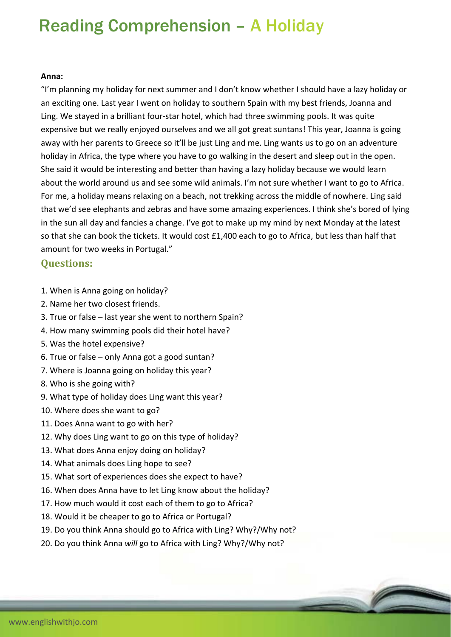## Reading Comprehension – A Holiday

## **Anna:**

"I'm planning my holiday for next summer and I don't know whether I should have a lazy holiday or an exciting one. Last year I went on holiday to southern Spain with my best friends, Joanna and Ling. We stayed in a brilliant four‐star hotel, which had three swimming pools. It was quite expensive but we really enjoyed ourselves and we all got great suntans! This year, Joanna is going away with her parents to Greece so it'll be just Ling and me. Ling wants us to go on an adventure holiday in Africa, the type where you have to go walking in the desert and sleep out in the open. She said it would be interesting and better than having a lazy holiday because we would learn about the world around us and see some wild animals. I'm not sure whether I want to go to Africa. For me, a holiday means relaxing on a beach, not trekking across the middle of nowhere. Ling said that we'd see elephants and zebras and have some amazing experiences. I think she's bored of lying in the sun all day and fancies a change. I've got to make up my mind by next Monday at the latest so that she can book the tickets. It would cost £1,400 each to go to Africa, but less than half that amount for two weeks in Portugal."

## **Questions:**

1. When is Anna going on holiday?

- 2. Name her two closest friends.
- 3. True or false last year she went to northern Spain?
- 4. How many swimming pools did their hotel have?
- 5. Was the hotel expensive?
- 6. True or false only Anna got a good suntan?
- 7. Where is Joanna going on holiday this year?
- 8. Who is she going with?
- 9. What type of holiday does Ling want this year?
- 10. Where does she want to go?
- 11. Does Anna want to go with her?
- 12. Why does Ling want to go on this type of holiday?
- 13. What does Anna enjoy doing on holiday?
- 14. What animals does Ling hope to see?
- 15. What sort of experiences does she expect to have?
- 16. When does Anna have to let Ling know about the holiday?
- 17. How much would it cost each of them to go to Africa?
- 18. Would it be cheaper to go to Africa or Portugal?
- 19. Do you think Anna should go to Africa with Ling? Why?/Why not?
- 20. Do you think Anna *will* go to Africa with Ling? Why?/Why not?